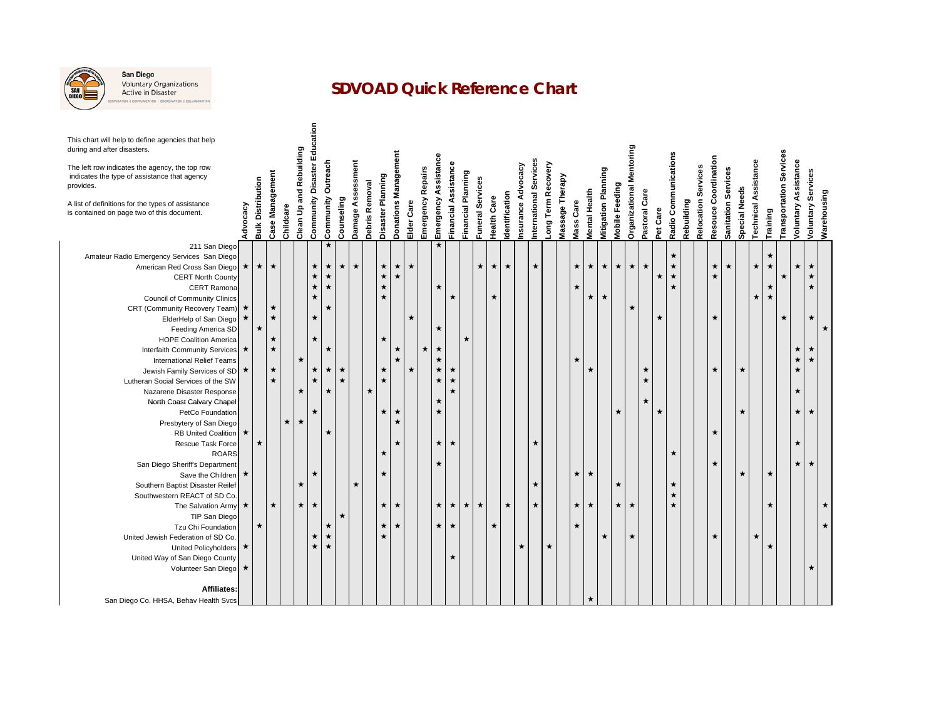

San Diego Voluntary Organizations<br>Active in Disaster N I COORDINAT

## **SDVOAD Quick Reference Chart**

| This chart will help to define agencies that help<br>during and after disasters.<br>The left row indicates the agency, the top row<br>indicates the type of assistance that agency<br>provides.<br>A list of definitions for the types of assistance<br>is contained on page two of this document. | Advocacy | <b>Bulk Distribution</b> | <b>Case Management</b> | Childcare | Clean Up and Rebuilding | Community Disaster Education | <b>Community Outreach</b> | Counseling | Damage Assessment<br>Debris Removal | Disaster Planning | <b>Donations Management</b> | Elder Care | <b>Repairs</b><br>Emergency | Emergency Assistance | Financial Assistance | Financial Planning | <b>Funeral Services</b> | Health Care | nsurance Advocacy<br>dentification | nternational Services | ong Term Recovery | Massage Therapy | Mass Care | Mental Health | <b>Mitigation Planning</b><br>Mobile Feeding | Mentoring<br>Organizational | Pastoral Care | Pet Care | Radio Communications | <b>Relocation Services</b><br>Rebuilding | Resouce Coordination | <b>Sanitation Services</b> | <b>Special Needs</b> | <b>Technical Assistance</b> | Training | <b>Transportation Services</b> | <b>Voluntary Assistance</b><br><b>Voluntary Services</b> | Warehousing |  |
|----------------------------------------------------------------------------------------------------------------------------------------------------------------------------------------------------------------------------------------------------------------------------------------------------|----------|--------------------------|------------------------|-----------|-------------------------|------------------------------|---------------------------|------------|-------------------------------------|-------------------|-----------------------------|------------|-----------------------------|----------------------|----------------------|--------------------|-------------------------|-------------|------------------------------------|-----------------------|-------------------|-----------------|-----------|---------------|----------------------------------------------|-----------------------------|---------------|----------|----------------------|------------------------------------------|----------------------|----------------------------|----------------------|-----------------------------|----------|--------------------------------|----------------------------------------------------------|-------------|--|
| 211 San Diego                                                                                                                                                                                                                                                                                      |          |                          |                        |           |                         |                              | $\star$                   |            |                                     |                   |                             |            |                             | $\star$              |                      |                    |                         |             |                                    |                       |                   |                 |           |               |                                              |                             |               |          |                      |                                          |                      |                            |                      |                             |          |                                |                                                          |             |  |
| Amateur Radio Emergency Services San Diego                                                                                                                                                                                                                                                         |          |                          |                        |           |                         |                              |                           |            |                                     |                   |                             |            |                             |                      |                      |                    |                         |             |                                    |                       |                   |                 |           |               |                                              |                             |               |          | $\star$              |                                          |                      |                            |                      |                             | $\star$  |                                |                                                          |             |  |
| American Red Cross San Diego                                                                                                                                                                                                                                                                       | $\star$  | $\star$                  | $\star$                |           |                         | ★                            | $\star$                   | $\star$    | $\star$                             | $\star$           | $\star$                     | $\star$    |                             |                      |                      |                    | $\star$                 | $\star$     | $\star$                            | $\star$               |                   |                 | $\star$   | $\star$       | $\star$                                      | $\star$<br>$\star$          | *             |          | $\star$              |                                          | $\star$              | $\star$                    |                      | $\star$                     | $\star$  |                                | $\star$                                                  | $\star$     |  |
| <b>CERT North County</b>                                                                                                                                                                                                                                                                           |          |                          |                        |           |                         | $\star$                      | $\star$                   |            |                                     | $\star$           | $\star$                     |            |                             |                      |                      |                    |                         |             |                                    |                       |                   |                 |           |               |                                              |                             |               | ★        | $\star$              |                                          | $\star$              |                            |                      |                             |          | ★                              |                                                          | $\star$     |  |
| <b>CERT Ramona</b>                                                                                                                                                                                                                                                                                 |          |                          |                        |           |                         | $\star$                      | $\star$                   |            |                                     | $\star$           |                             |            |                             | $\star$              |                      |                    |                         |             |                                    |                       |                   |                 | $\star$   |               |                                              |                             |               |          | $\star$              |                                          |                      |                            |                      |                             | $\star$  |                                |                                                          | $\star$     |  |
| <b>Council of Community Clinics</b>                                                                                                                                                                                                                                                                |          |                          |                        |           |                         | $\star$                      |                           |            |                                     | $\star$           |                             |            |                             |                      | $\star$              |                    |                         | $\star$     |                                    |                       |                   |                 |           | $\star$       | ★                                            |                             |               |          |                      |                                          |                      |                            |                      | $\star$                     | $\star$  |                                |                                                          |             |  |
| CRT (Community Recovery Team)                                                                                                                                                                                                                                                                      | $\star$  |                          | ★                      |           |                         |                              | ★                         |            |                                     |                   |                             |            |                             |                      |                      |                    |                         |             |                                    |                       |                   |                 |           |               |                                              | $\star$                     |               |          |                      |                                          |                      |                            |                      |                             |          |                                |                                                          |             |  |
| ElderHelp of San Diego                                                                                                                                                                                                                                                                             |          |                          | $\star$                |           |                         | $\star$                      |                           |            |                                     |                   |                             | $\star$    |                             |                      |                      |                    |                         |             |                                    |                       |                   |                 |           |               |                                              |                             |               | $\star$  |                      |                                          | $\star$              |                            |                      |                             |          | $\star$                        |                                                          | ★           |  |
| Feeding America SD                                                                                                                                                                                                                                                                                 |          | $\star$                  |                        |           |                         |                              |                           |            |                                     |                   |                             |            |                             | $\star$              |                      |                    |                         |             |                                    |                       |                   |                 |           |               |                                              |                             |               |          |                      |                                          |                      |                            |                      |                             |          |                                |                                                          | $\star$     |  |
| <b>HOPE Coalition America</b>                                                                                                                                                                                                                                                                      |          |                          | $\star$                |           |                         | $\star$                      |                           |            |                                     | $\star$           |                             |            |                             |                      |                      | $\star$            |                         |             |                                    |                       |                   |                 |           |               |                                              |                             |               |          |                      |                                          |                      |                            |                      |                             |          |                                |                                                          |             |  |
| Interfaith Community Services                                                                                                                                                                                                                                                                      | $\star$  |                          | $\star$                |           |                         |                              | ★                         |            |                                     |                   | $\star$                     |            | $\star$                     | $\star$              |                      |                    |                         |             |                                    |                       |                   |                 |           |               |                                              |                             |               |          |                      |                                          |                      |                            |                      |                             |          |                                | A                                                        |             |  |
| <b>International Relief Teams</b>                                                                                                                                                                                                                                                                  |          |                          |                        |           | *                       |                              |                           |            |                                     |                   | $\star$                     |            |                             | $\star$              |                      |                    |                         |             |                                    |                       |                   |                 | $\star$   |               |                                              |                             |               |          |                      |                                          |                      |                            |                      |                             |          |                                | $\star$                                                  | $\star$     |  |
| Jewish Family Services of SD                                                                                                                                                                                                                                                                       | $\star$  |                          | $\star$                |           |                         | ★                            | $^{\star}$                | $\star$    |                                     | $\star$           |                             | $\star$    |                             | $\star$              | $\star$              |                    |                         |             |                                    |                       |                   |                 |           | ★             |                                              |                             | $^{\star}$    |          |                      |                                          | $\star$              |                            | ★                    |                             |          |                                | $\star$                                                  |             |  |
| Lutheran Social Services of the SW                                                                                                                                                                                                                                                                 |          |                          | $\star$                |           |                         | $\star$                      |                           | $\star$    |                                     | $\star$           |                             |            |                             | $\star$              | $\star$              |                    |                         |             |                                    |                       |                   |                 |           |               |                                              |                             | $\star$       |          |                      |                                          |                      |                            |                      |                             |          |                                |                                                          |             |  |
| Nazarene Disaster Response                                                                                                                                                                                                                                                                         |          |                          |                        |           | $\star$                 |                              | ★                         |            | $\star$                             |                   |                             |            |                             |                      | $\star$              |                    |                         |             |                                    |                       |                   |                 |           |               |                                              |                             |               |          |                      |                                          |                      |                            |                      |                             |          |                                | $\star$                                                  |             |  |
| North Coast Calvary Chapel                                                                                                                                                                                                                                                                         |          |                          |                        |           |                         |                              |                           |            |                                     |                   |                             |            |                             | $\star$              |                      |                    |                         |             |                                    |                       |                   |                 |           |               |                                              |                             |               |          |                      |                                          |                      |                            |                      |                             |          |                                |                                                          |             |  |
| PetCo Foundation                                                                                                                                                                                                                                                                                   |          |                          |                        |           |                         | $\star$                      |                           |            |                                     | $\star$           | $\star$                     |            |                             | $\star$              |                      |                    |                         |             |                                    |                       |                   |                 |           |               | $\star$                                      |                             |               | $\star$  |                      |                                          |                      |                            | $\star$              |                             |          |                                | $\star$                                                  | ★           |  |
| Presbytery of San Diego                                                                                                                                                                                                                                                                            |          |                          |                        | $\star$   | $^{\star}$              |                              |                           |            |                                     |                   | $\star$                     |            |                             |                      |                      |                    |                         |             |                                    |                       |                   |                 |           |               |                                              |                             |               |          |                      |                                          |                      |                            |                      |                             |          |                                |                                                          |             |  |
| <b>RB United Coalition</b>                                                                                                                                                                                                                                                                         | $\star$  |                          |                        |           |                         |                              | ★                         |            |                                     |                   |                             |            |                             |                      |                      |                    |                         |             |                                    |                       |                   |                 |           |               |                                              |                             |               |          |                      |                                          | $\star$              |                            |                      |                             |          |                                |                                                          |             |  |
| Rescue Task Force                                                                                                                                                                                                                                                                                  |          | $\star$                  |                        |           |                         |                              |                           |            |                                     |                   | $\star$                     |            |                             | $\star$              | $\star$              |                    |                         |             |                                    | $\star$               |                   |                 |           |               |                                              |                             |               |          |                      |                                          |                      |                            |                      |                             |          |                                | ★                                                        |             |  |
| <b>ROARS</b>                                                                                                                                                                                                                                                                                       |          |                          |                        |           |                         |                              |                           |            |                                     | *                 |                             |            |                             |                      |                      |                    |                         |             |                                    |                       |                   |                 |           |               |                                              |                             |               |          | $\star$              |                                          |                      |                            |                      |                             |          |                                |                                                          |             |  |
| San Diego Sheriff's Department                                                                                                                                                                                                                                                                     |          |                          |                        |           |                         |                              |                           |            |                                     |                   |                             |            |                             | $\star$              |                      |                    |                         |             |                                    |                       |                   |                 |           |               |                                              |                             |               |          |                      |                                          | $\star$              |                            |                      |                             |          |                                | $\star$                                                  | $\star$     |  |
| Save the Children                                                                                                                                                                                                                                                                                  | $\star$  |                          |                        |           |                         | ★                            |                           |            |                                     | $\star$           |                             |            |                             |                      |                      |                    |                         |             |                                    |                       |                   |                 | $\star$   | $\star$       |                                              |                             |               |          |                      |                                          |                      |                            | $\star$              |                             | $\star$  |                                |                                                          |             |  |
| Southern Baptist Disaster Reilef                                                                                                                                                                                                                                                                   |          |                          |                        |           | $\star$                 |                              |                           |            | $\star$                             |                   |                             |            |                             |                      |                      |                    |                         |             |                                    | $\star$               |                   |                 |           |               |                                              | ★                           |               |          | ★                    |                                          |                      |                            |                      |                             |          |                                |                                                          |             |  |
| Southwestern REACT of SD Co.                                                                                                                                                                                                                                                                       |          |                          |                        |           |                         |                              |                           |            |                                     |                   |                             |            |                             |                      |                      |                    |                         |             |                                    |                       |                   |                 |           |               |                                              |                             |               |          | $\star$              |                                          |                      |                            |                      |                             |          |                                |                                                          |             |  |
|                                                                                                                                                                                                                                                                                                    | $\star$  |                          | $\star$                |           | $\star$                 | $\star$                      |                           |            |                                     | $\star$           | $\star$                     |            |                             | $\star$              | $\star$              | $\star$            | $\star$                 |             | $\star$                            | $\star$               |                   |                 | $\star$   | $\star$       |                                              | $\star$<br>$\star$          |               |          | $\star$              |                                          |                      |                            |                      |                             | $\star$  |                                |                                                          | $\star$     |  |
| The Salvation Army                                                                                                                                                                                                                                                                                 |          |                          |                        |           |                         |                              |                           | $\star$    |                                     |                   |                             |            |                             |                      |                      |                    |                         |             |                                    |                       |                   |                 |           |               |                                              |                             |               |          |                      |                                          |                      |                            |                      |                             |          |                                |                                                          |             |  |
| TIP San Diego                                                                                                                                                                                                                                                                                      |          | $\star$                  |                        |           |                         |                              |                           |            |                                     | $\star$           | $\star$                     |            |                             | $\star$              | $\star$              |                    |                         | $\star$     |                                    |                       |                   |                 | $\star$   |               |                                              |                             |               |          |                      |                                          |                      |                            |                      |                             |          |                                |                                                          | $\star$     |  |
| Tzu Chi Foundation                                                                                                                                                                                                                                                                                 |          |                          |                        |           |                         |                              | ★                         |            |                                     |                   |                             |            |                             |                      |                      |                    |                         |             |                                    |                       |                   |                 |           |               |                                              |                             |               |          |                      |                                          |                      |                            |                      |                             |          |                                |                                                          |             |  |
| United Jewish Federation of SD Co.                                                                                                                                                                                                                                                                 |          |                          |                        |           |                         | ★                            | $\star$                   |            |                                     | $\star$           |                             |            |                             |                      |                      |                    |                         |             |                                    |                       |                   |                 |           |               |                                              | $\star$                     |               |          |                      |                                          | $\star$              |                            |                      | $\star$                     |          |                                |                                                          |             |  |
| United Policyholders                                                                                                                                                                                                                                                                               | $\star$  |                          |                        |           |                         | $\star$                      | $\star$                   |            |                                     |                   |                             |            |                             |                      |                      |                    |                         |             | $\star$                            |                       | $\star$           |                 |           |               |                                              |                             |               |          |                      |                                          |                      |                            |                      |                             | $\star$  |                                |                                                          |             |  |
| United Way of San Diego County                                                                                                                                                                                                                                                                     |          |                          |                        |           |                         |                              |                           |            |                                     |                   |                             |            |                             |                      | $\star$              |                    |                         |             |                                    |                       |                   |                 |           |               |                                              |                             |               |          |                      |                                          |                      |                            |                      |                             |          |                                |                                                          |             |  |
| Volunteer San Diego                                                                                                                                                                                                                                                                                | ★        |                          |                        |           |                         |                              |                           |            |                                     |                   |                             |            |                             |                      |                      |                    |                         |             |                                    |                       |                   |                 |           |               |                                              |                             |               |          |                      |                                          |                      |                            |                      |                             |          |                                |                                                          | $\star$     |  |
|                                                                                                                                                                                                                                                                                                    |          |                          |                        |           |                         |                              |                           |            |                                     |                   |                             |            |                             |                      |                      |                    |                         |             |                                    |                       |                   |                 |           |               |                                              |                             |               |          |                      |                                          |                      |                            |                      |                             |          |                                |                                                          |             |  |
| <b>Affiliates:</b>                                                                                                                                                                                                                                                                                 |          |                          |                        |           |                         |                              |                           |            |                                     |                   |                             |            |                             |                      |                      |                    |                         |             |                                    |                       |                   |                 |           |               |                                              |                             |               |          |                      |                                          |                      |                            |                      |                             |          |                                |                                                          |             |  |
| San Diego Co. HHSA, Behav Health Svcs                                                                                                                                                                                                                                                              |          |                          |                        |           |                         |                              |                           |            |                                     |                   |                             |            |                             |                      |                      |                    |                         |             |                                    |                       |                   |                 |           | $\star$       |                                              |                             |               |          |                      |                                          |                      |                            |                      |                             |          |                                |                                                          |             |  |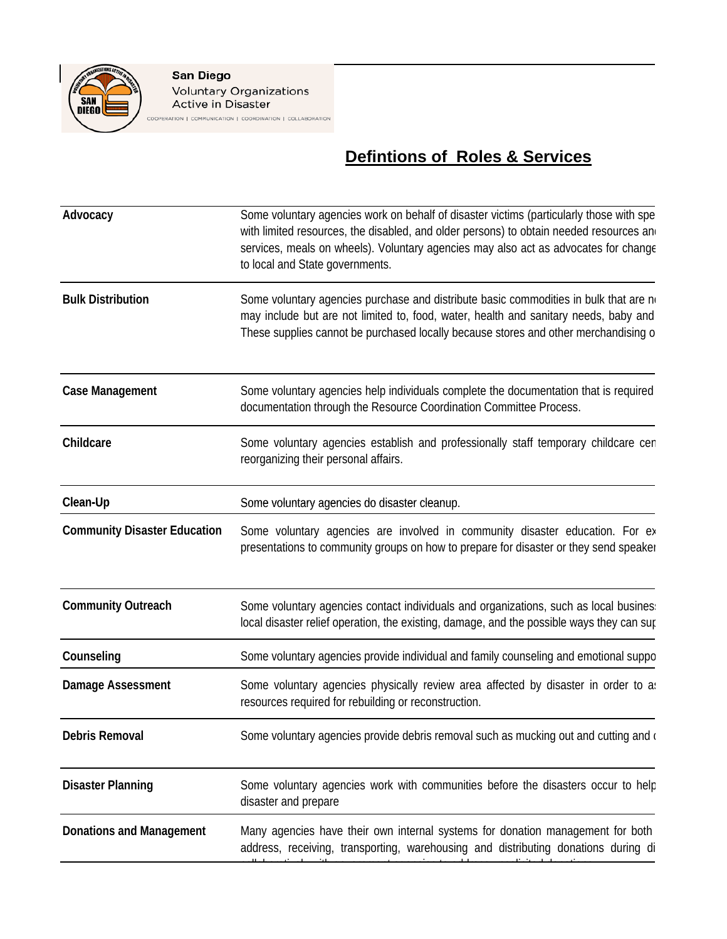

San Diego **Voluntary Organizations** Active in Disaster COOPERATION | COMMUNICATION | COORDINATION | COLLABORATION

## **Defintions of Roles & Services**

| Advocacy                            | Some voluntary agencies work on behalf of disaster victims (particularly those with spe<br>with limited resources, the disabled, and older persons) to obtain needed resources and<br>services, meals on wheels). Voluntary agencies may also act as advocates for change<br>to local and State governments. |
|-------------------------------------|--------------------------------------------------------------------------------------------------------------------------------------------------------------------------------------------------------------------------------------------------------------------------------------------------------------|
| <b>Bulk Distribution</b>            | Some voluntary agencies purchase and distribute basic commodities in bulk that are no<br>may include but are not limited to, food, water, health and sanitary needs, baby and<br>These supplies cannot be purchased locally because stores and other merchandising o                                         |
| <b>Case Management</b>              | Some voluntary agencies help individuals complete the documentation that is required<br>documentation through the Resource Coordination Committee Process.                                                                                                                                                   |
| Childcare                           | Some voluntary agencies establish and professionally staff temporary childcare cen<br>reorganizing their personal affairs.                                                                                                                                                                                   |
| Clean-Up                            | Some voluntary agencies do disaster cleanup.                                                                                                                                                                                                                                                                 |
| <b>Community Disaster Education</b> | Some voluntary agencies are involved in community disaster education. For ex-<br>presentations to community groups on how to prepare for disaster or they send speaker                                                                                                                                       |
| <b>Community Outreach</b>           | Some voluntary agencies contact individuals and organizations, such as local busines:<br>local disaster relief operation, the existing, damage, and the possible ways they can sur                                                                                                                           |
| Counseling                          | Some voluntary agencies provide individual and family counseling and emotional suppo                                                                                                                                                                                                                         |
| Damage Assessment                   | Some voluntary agencies physically review area affected by disaster in order to a:<br>resources required for rebuilding or reconstruction.                                                                                                                                                                   |
| Debris Removal                      | Some voluntary agencies provide debris removal such as mucking out and cutting and o                                                                                                                                                                                                                         |
| <b>Disaster Planning</b>            | Some voluntary agencies work with communities before the disasters occur to help<br>disaster and prepare                                                                                                                                                                                                     |
| <b>Donations and Management</b>     | Many agencies have their own internal systems for donation management for both<br>address, receiving, transporting, warehousing and distributing donations during di                                                                                                                                         |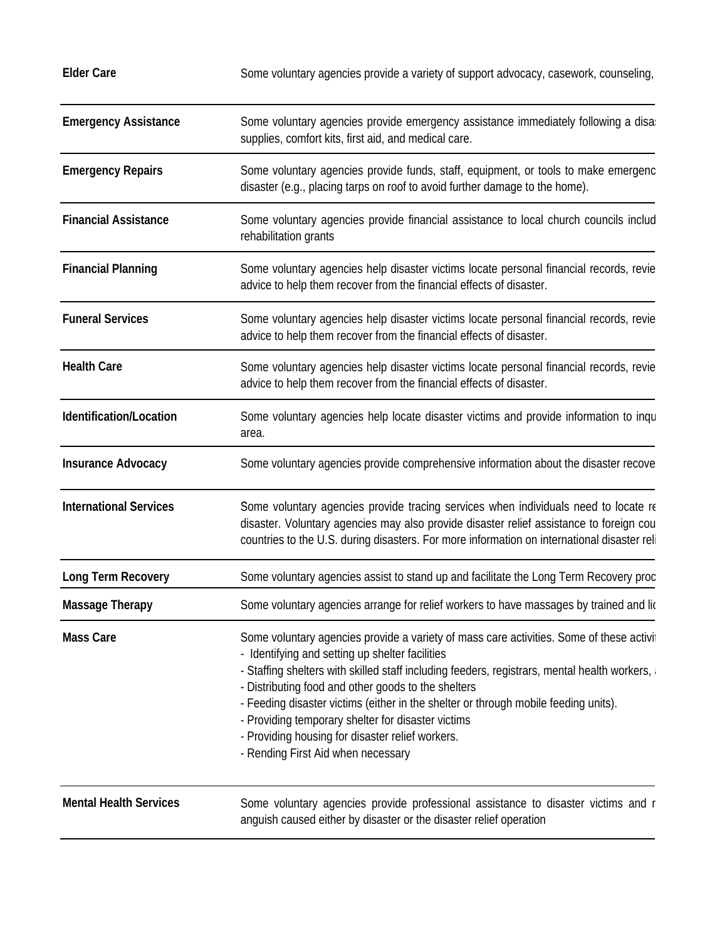**Elder Care**

Some voluntary agencies provide a variety of support advocacy, casework, counseling,

| <b>Emergency Assistance</b>   | Some voluntary agencies provide emergency assistance immediately following a disa:<br>supplies, comfort kits, first aid, and medical care.                                                                                                                                                                                                                                                                                                                                                                                                  |
|-------------------------------|---------------------------------------------------------------------------------------------------------------------------------------------------------------------------------------------------------------------------------------------------------------------------------------------------------------------------------------------------------------------------------------------------------------------------------------------------------------------------------------------------------------------------------------------|
| <b>Emergency Repairs</b>      | Some voluntary agencies provide funds, staff, equipment, or tools to make emergenc<br>disaster (e.g., placing tarps on roof to avoid further damage to the home).                                                                                                                                                                                                                                                                                                                                                                           |
| <b>Financial Assistance</b>   | Some voluntary agencies provide financial assistance to local church councils includ<br>rehabilitation grants                                                                                                                                                                                                                                                                                                                                                                                                                               |
| <b>Financial Planning</b>     | Some voluntary agencies help disaster victims locate personal financial records, revie<br>advice to help them recover from the financial effects of disaster.                                                                                                                                                                                                                                                                                                                                                                               |
| <b>Funeral Services</b>       | Some voluntary agencies help disaster victims locate personal financial records, revie<br>advice to help them recover from the financial effects of disaster.                                                                                                                                                                                                                                                                                                                                                                               |
| <b>Health Care</b>            | Some voluntary agencies help disaster victims locate personal financial records, revie<br>advice to help them recover from the financial effects of disaster.                                                                                                                                                                                                                                                                                                                                                                               |
| Identification/Location       | Some voluntary agencies help locate disaster victims and provide information to inqu<br>area.                                                                                                                                                                                                                                                                                                                                                                                                                                               |
| <b>Insurance Advocacy</b>     | Some voluntary agencies provide comprehensive information about the disaster recove                                                                                                                                                                                                                                                                                                                                                                                                                                                         |
| <b>International Services</b> | Some voluntary agencies provide tracing services when individuals need to locate re<br>disaster. Voluntary agencies may also provide disaster relief assistance to foreign cou<br>countries to the U.S. during disasters. For more information on international disaster reli                                                                                                                                                                                                                                                               |
| Long Term Recovery            | Some voluntary agencies assist to stand up and facilitate the Long Term Recovery proc                                                                                                                                                                                                                                                                                                                                                                                                                                                       |
| <b>Massage Therapy</b>        | Some voluntary agencies arrange for relief workers to have massages by trained and lic                                                                                                                                                                                                                                                                                                                                                                                                                                                      |
| <b>Mass Care</b>              | Some voluntary agencies provide a variety of mass care activities. Some of these activit<br>- Identifying and setting up shelter facilities<br>- Staffing shelters with skilled staff including feeders, registrars, mental health workers, a<br>- Distributing food and other goods to the shelters<br>- Feeding disaster victims (either in the shelter or through mobile feeding units).<br>- Providing temporary shelter for disaster victims<br>- Providing housing for disaster relief workers.<br>- Rending First Aid when necessary |
| <b>Mental Health Services</b> | Some voluntary agencies provide professional assistance to disaster victims and r<br>anguish caused either by disaster or the disaster relief operation                                                                                                                                                                                                                                                                                                                                                                                     |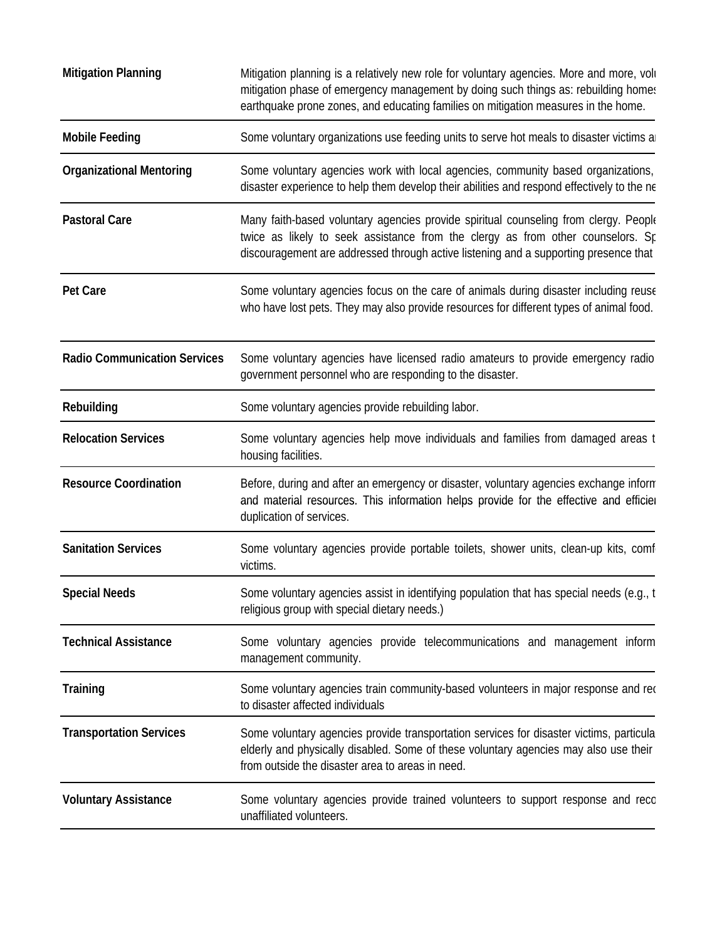| <b>Mitigation Planning</b>          | Mitigation planning is a relatively new role for voluntary agencies. More and more, volu<br>mitigation phase of emergency management by doing such things as: rebuilding homes<br>earthquake prone zones, and educating families on mitigation measures in the home. |
|-------------------------------------|----------------------------------------------------------------------------------------------------------------------------------------------------------------------------------------------------------------------------------------------------------------------|
| <b>Mobile Feeding</b>               | Some voluntary organizations use feeding units to serve hot meals to disaster victims a                                                                                                                                                                              |
| <b>Organizational Mentoring</b>     | Some voluntary agencies work with local agencies, community based organizations,<br>disaster experience to help them develop their abilities and respond effectively to the ne                                                                                       |
| <b>Pastoral Care</b>                | Many faith-based voluntary agencies provide spiritual counseling from clergy. People<br>twice as likely to seek assistance from the clergy as from other counselors. Sp<br>discouragement are addressed through active listening and a supporting presence that      |
| Pet Care                            | Some voluntary agencies focus on the care of animals during disaster including reuse<br>who have lost pets. They may also provide resources for different types of animal food.                                                                                      |
| <b>Radio Communication Services</b> | Some voluntary agencies have licensed radio amateurs to provide emergency radio<br>government personnel who are responding to the disaster.                                                                                                                          |
| Rebuilding                          | Some voluntary agencies provide rebuilding labor.                                                                                                                                                                                                                    |
| <b>Relocation Services</b>          | Some voluntary agencies help move individuals and families from damaged areas t<br>housing facilities.                                                                                                                                                               |
| <b>Resource Coordination</b>        | Before, during and after an emergency or disaster, voluntary agencies exchange inform<br>and material resources. This information helps provide for the effective and efficier<br>duplication of services.                                                           |
| <b>Sanitation Services</b>          | Some voluntary agencies provide portable toilets, shower units, clean-up kits, comf<br>victims.                                                                                                                                                                      |
| <b>Special Needs</b>                | Some voluntary agencies assist in identifying population that has special needs (e.g., t<br>religious group with special dietary needs.)                                                                                                                             |
| <b>Technical Assistance</b>         | Some voluntary agencies provide telecommunications and management inform<br>management community.                                                                                                                                                                    |
| <b>Training</b>                     | Some voluntary agencies train community-based volunteers in major response and rec<br>to disaster affected individuals                                                                                                                                               |
| <b>Transportation Services</b>      | Some voluntary agencies provide transportation services for disaster victims, particula<br>elderly and physically disabled. Some of these voluntary agencies may also use their<br>from outside the disaster area to areas in need.                                  |
| <b>Voluntary Assistance</b>         | Some voluntary agencies provide trained volunteers to support response and reco<br>unaffiliated volunteers.                                                                                                                                                          |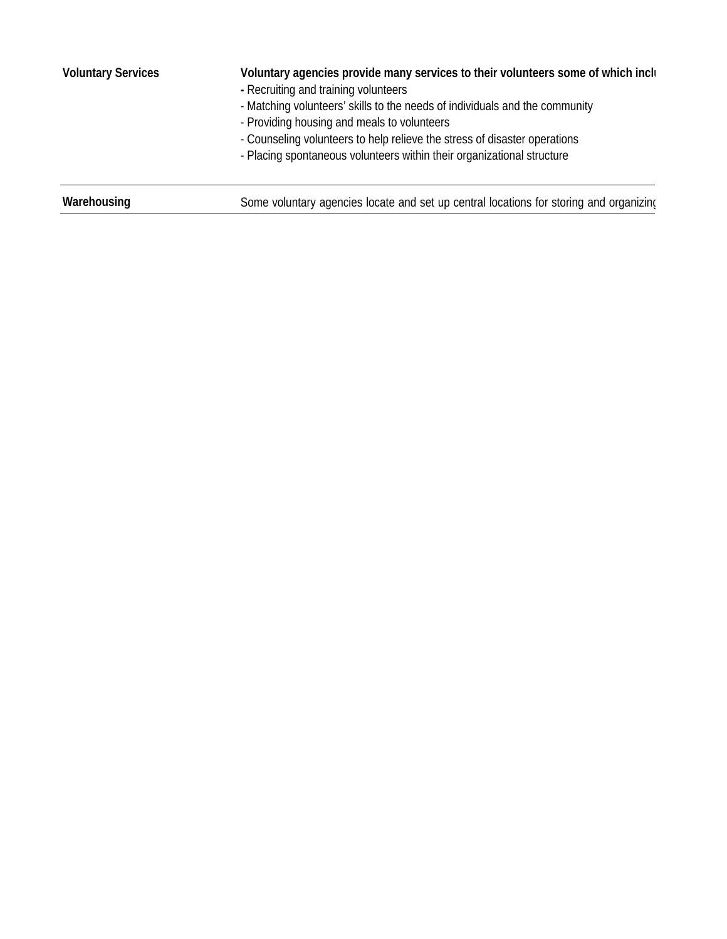| <b>Voluntary Services</b> | Voluntary agencies provide many services to their volunteers some of which inclu<br>- Recruiting and training volunteers<br>- Matching volunteers' skills to the needs of individuals and the community<br>- Providing housing and meals to volunteers<br>- Counseling volunteers to help relieve the stress of disaster operations<br>- Placing spontaneous volunteers within their organizational structure |
|---------------------------|---------------------------------------------------------------------------------------------------------------------------------------------------------------------------------------------------------------------------------------------------------------------------------------------------------------------------------------------------------------------------------------------------------------|
| Warehousing               | Some voluntary agencies locate and set up central locations for storing and organizing                                                                                                                                                                                                                                                                                                                        |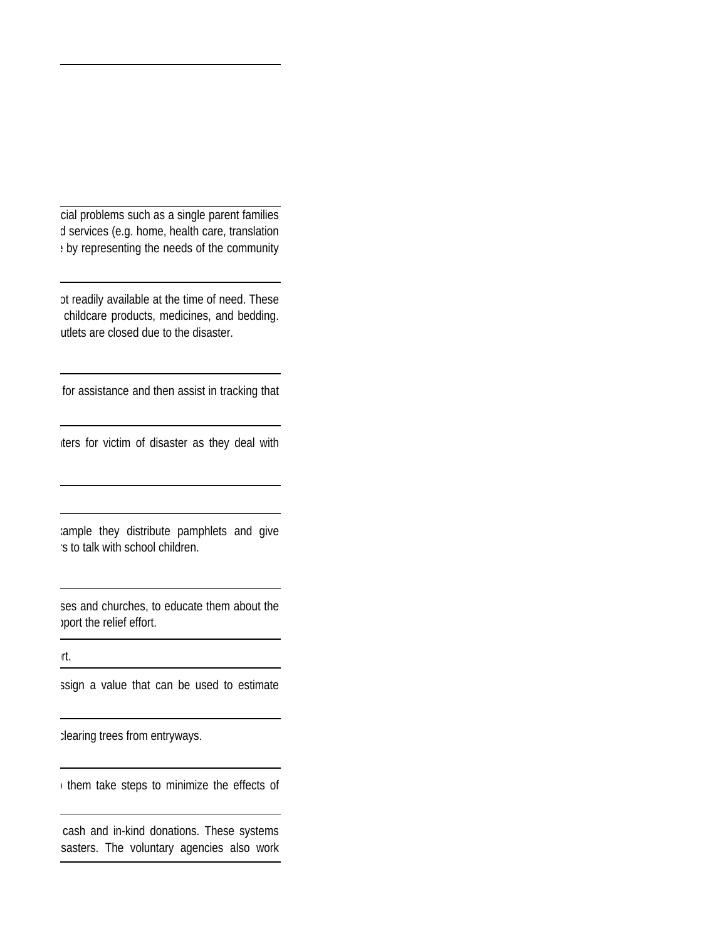cial problems such as a single parent families d services (e.g. home, health care, translation e by representing the needs of the community

ot readily available at the time of need. These childcare products, medicines, and bedding. utlets are closed due to the disaster.

for assistance and then assist in tracking that

nters for victim of disaster as they deal with

xample they distribute pamphlets and give rs to talk with school children.

ses and churches, to educate them about the pport the relief effort.

ort.

ssign a value that can be used to estimate

clearing trees from entryways.

p them take steps to minimize the effects of

cash and in-kind donations. These systems sasters. The voluntary agencies also work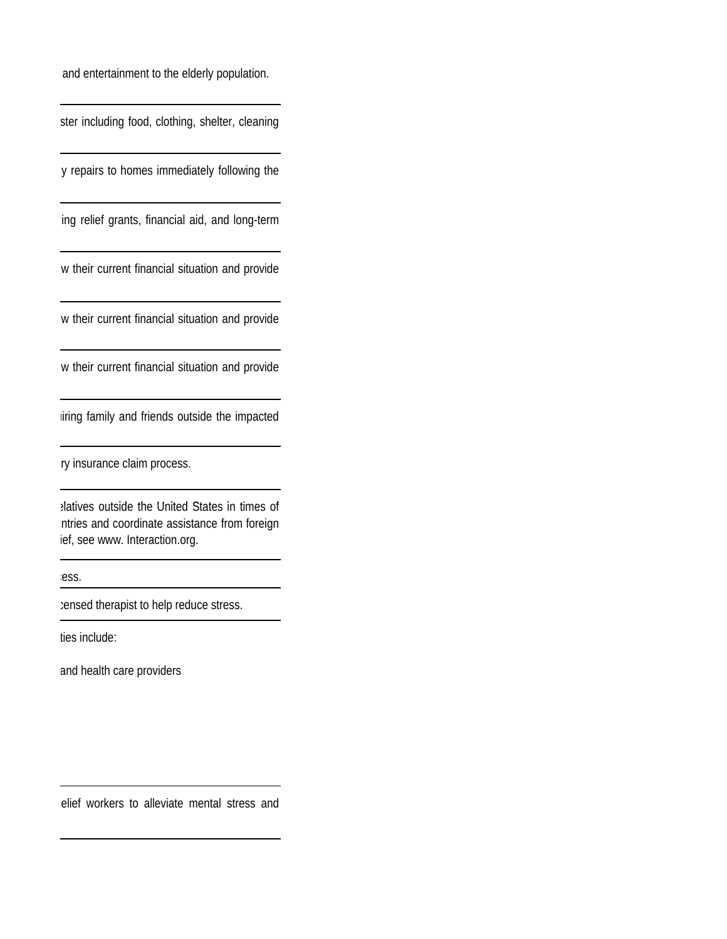and entertainment to the elderly population.

ster including food, clothing, shelter, cleaning

y repairs to homes immediately following the

ing relief grants, financial aid, and long-term

w their current financial situation and provide

w their current financial situation and provide

w their current financial situation and provide

uiring family and friends outside the impacted

ry insurance claim process.

elatives outside the United States in times of ntries and coordinate assistance from foreign ief, see www. Interaction.org.

cess.

censed therapist to help reduce stress.

ties include:

and health care providers

relief workers to alleviate mental stress and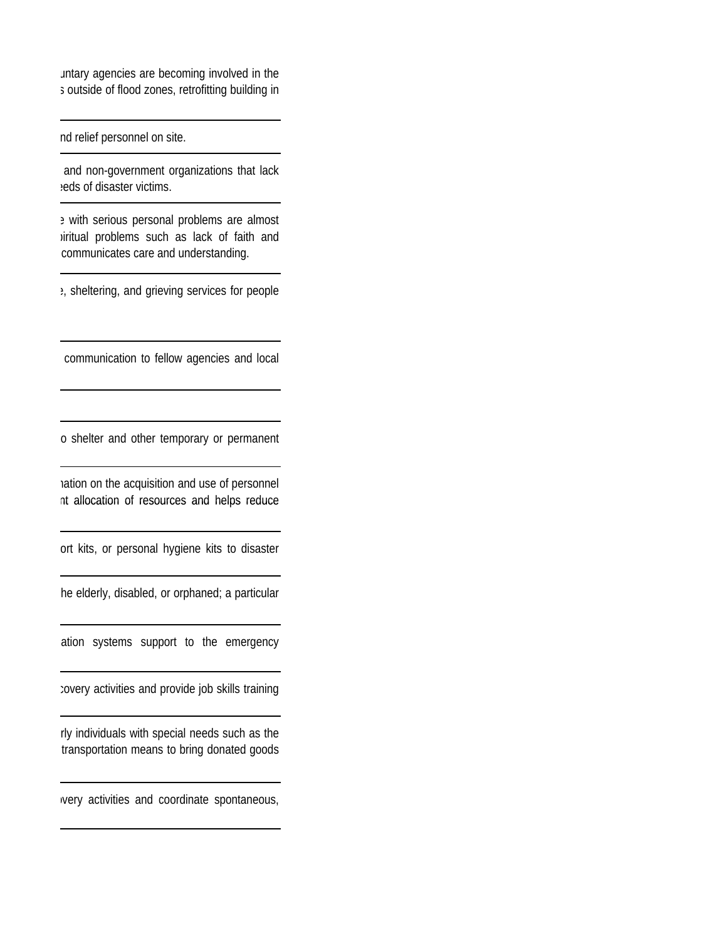untary agencies are becoming involved in the s outside of flood zones, retrofitting building in

nd relief personnel on site.

and non-government organizations that lack eds of disaster victims.

e with serious personal problems are almost piritual problems such as lack of faith and communicates care and understanding.

e, sheltering, and grieving services for people

communication to fellow agencies and local

o shelter and other temporary or permanent

mation on the acquisition and use of personnel nt allocation of resources and helps reduce

ort kits, or personal hygiene kits to disaster

he elderly, disabled, or orphaned; a particular

ation systems support to the emergency

covery activities and provide job skills training

rly individuals with special needs such as the transportation means to bring donated goods

very activities and coordinate spontaneous,